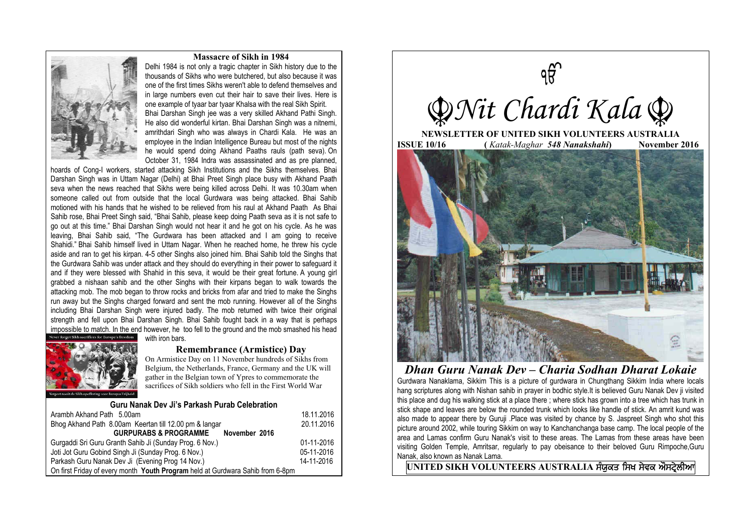## **Massacre of Sikh in 1984**



Delhi 1984 is not only a tragic chapter in Sikh history due to the thousands of Sikhs who were butchered, but also because it was one of the first times Sikhs weren't able to defend themselves and in large numbers even cut their hair to save their lives. Here is one example of tyaar bar tyaar Khalsa with the real Sikh Spirit. Bhai Darshan Singh jee was a very skilled Akhand Pathi Singh. He also did wonderful kirtan. Bhai Darshan Singh was a nitnemi, amrithdari Singh who was always in Chardi Kala. He was an employee in the Indian Intelligence Bureau but most of the nights he would spend doing Akhand Paaths rauls (path seva). On October 31, 1984 Indra was assassinated and as pre planned,

hoards of Cong-I workers, started attacking Sikh Institutions and the Sikhs themselves. Bhai Darshan Singh was in Uttam Nagar (Delhi) at Bhai Preet Singh place busy with Akhand Paath seva when the news reached that Sikhs were being killed across Delhi. It was 10.30am when someone called out from outside that the local Gurdwara was being attacked. Bhai Sahib motioned with his hands that he wished to be relieved from his raul at Akhand Paath As Bhai Sahib rose, Bhai Preet Singh said, "Bhai Sahib, please keep doing Paath seva as it is not safe to go out at this time." Bhai Darshan Singh would not hear it and he got on his cycle. As he was leaving, Bhai Sahib said, "The Gurdwara has been attacked and I am going to receive Shahidi." Bhai Sahib himself lived in Uttam Nagar. When he reached home, he threw his cycle aside and ran to get his kirpan. 4-5 other Singhs also joined him. Bhai Sahib told the Singhs that the Gurdwara Sahib was under attack and they should do everything in their power to safeguard it and if they were blessed with Shahid in this seva, it would be their great fortune. A young girl grabbed a nishaan sahib and the other Singhs with their kirpans began to walk towards the attacking mob. The mob began to throw rocks and bricks from afar and tried to make the Singhs run away but the Singhs charged forward and sent the mob running. However all of the Singhs including Bhai Darshan Singh were injured badly. The mob returned with twice their original strength and fell upon Bhai Darshan Singh. Bhai Sahib fought back in a way that is perhaps impossible to match. In the end however, he too fell to the ground and the mob smashed his head with iron bars.



## **Remembrance (Armistice) Day**

On Armistice Day on 11 November hundreds of Sikhs from Belgium, the Netherlands, France, Germany and the UK will gather in the Belgian town of Ypres to commemorate the sacrifices of Sikh soldiers who fell in the First World War

**Guru Nanak Dev Ji's Parkash Purab Celebration**

| <u>UULU MAHAN DEV JI S LAINASILI ULAU UEIEVIALIUIL</u>                         |            |
|--------------------------------------------------------------------------------|------------|
| Arambh Akhand Path 5.00am                                                      | 18.11.2016 |
| Bhog Akhand Path 8.00am Keertan till 12.00 pm & langar                         | 20.11.2016 |
| <b>GURPURABS &amp; PROGRAMME</b><br>November 2016                              |            |
| Gurgaddi Sri Guru Granth Sahib Ji (Sunday Prog. 6 Nov.)                        | 01-11-2016 |
| Joti Jot Guru Gobind Singh Ji (Sunday Prog. 6 Nov.)                            | 05-11-2016 |
| Parkash Guru Nanak Dev Ji (Evening Prog 14 Nov.)                               | 14-11-2016 |
| On first Friday of every month Youth Program held at Gurdwara Sahib from 6-8pm |            |



Gurdwara Nanaklama, Sikkim This is a picture of gurdwara in [Chungthang](http://www.sikhiwiki.org/index.php?title=CHUNGTHANG) Sikkim India where locals hang scriptures along with Nishan sahib in prayer in bodhic style.It is believed Guru Nanak Dev ji visited this place and dug his walking stick at a place there ; where stick has grown into a tree which has trunk in stick shape and leaves are below the rounded trunk which looks like handle of stick. An amrit kund was also made to appear there by Guruji .Place was visited by chance by S. Jaspreet Singh who shot this picture around 2002, while touring Sikkim on way to Kanchanchanga base camp. The local people of the area and Lamas confirm Guru Nanak's visit to these areas. The Lamas from these areas have been visiting Golden Temple, Amritsar, regularly to pay obeisance to their beloved Guru Rimpoche,Guru Nanak, also known as Nanak Lama.

 $UNITED$  SIKH VOLUNTEERS AUSTRALIA ਸੰਯੁਕਤ ਸਿਖ ਸੇਵਕ ਔਸਟ੍ਰੇਲੀਆ